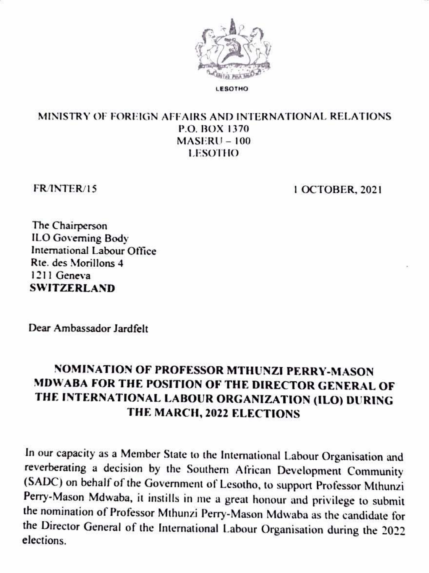

**ESOTHO** 

## MINISTRY OF FOREIGN AFFAIRS AND INTERNATIONAL RELATIONS **P.O. BOX 1370**  $MASERU - 100$ **LESOTHO**

FR/INTER/15

1 OCTOBER, 2021

The Chairperson ILO Governing Body International Labour Office Rte. des Morillons 4 1211 Geneva **SWITZERLAND** 

Dear Ambassador Jardfelt

## NOMINATION OF PROFESSOR MTHUNZI PERRY-MASON MDWABA FOR THE POSITION OF THE DIRECTOR GENERAL OF THE INTERNATIONAL LABOUR ORGANIZATION (ILO) DURING THE MARCH, 2022 ELECTIONS

In our capacity as a Member State to the International Labour Organisation and reverberating a decision by the Southern African Development Community (SADC) on behalf of the Government of Lesotho, to support Professor Mthunzi Perry-Mason Mdwaba, it instills in me a great honour and privilege to submit the nomination of Professor Mthunzi Perry-Mason Mdwaba as the candidate for the Director General of the International Labour Organisation during the 2022 elections